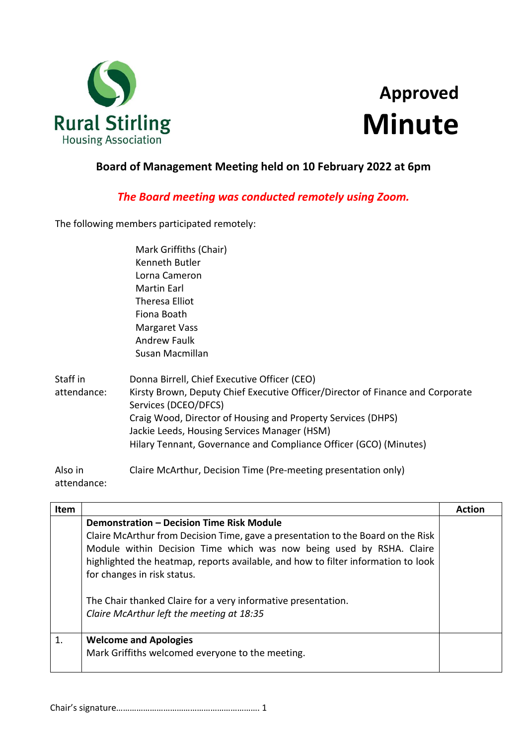

## **Approved Minute**

## **Board of Management Meeting held on 10 February 2022 at 6pm**

## *The Board meeting was conducted remotely using Zoom.*

The following members participated remotely:

Mark Griffiths (Chair) Kenneth Butler Lorna Cameron Martin Earl Theresa Elliot Fiona Boath Margaret Vass Andrew Faulk Susan Macmillan

| Staff in     | Donna Birrell, Chief Executive Officer (CEO)                                                                                                    |
|--------------|-------------------------------------------------------------------------------------------------------------------------------------------------|
| attendance:  | Kirsty Brown, Deputy Chief Executive Officer/Director of Finance and Corporate<br>Services (DCEO/DFCS)                                          |
|              | Craig Wood, Director of Housing and Property Services (DHPS)<br>Jackie Leeds, Housing Services Manager (HSM)                                    |
|              | Hilary Tennant, Governance and Compliance Officer (GCO) (Minutes)                                                                               |
| $\mathbf{A}$ | $\bigcap_{i=1}^{n}$ . A set of the $\bigcap_{i=1}^{n}$ $\bigcap_{i=1}^{n}$ $\bigcap_{i=1}^{n}$ . The contract of the set of $\bigcup_{i=1}^{n}$ |

Also in attendance: Claire McArthur, Decision Time (Pre-meeting presentation only)

| <b>Item</b>    |                                                                                                                                                                                                                                                                                                                           | Action |
|----------------|---------------------------------------------------------------------------------------------------------------------------------------------------------------------------------------------------------------------------------------------------------------------------------------------------------------------------|--------|
|                | Demonstration - Decision Time Risk Module<br>Claire McArthur from Decision Time, gave a presentation to the Board on the Risk<br>Module within Decision Time which was now being used by RSHA. Claire<br>highlighted the heatmap, reports available, and how to filter information to look<br>for changes in risk status. |        |
|                | The Chair thanked Claire for a very informative presentation.<br>Claire McArthur left the meeting at 18:35                                                                                                                                                                                                                |        |
| $\mathbf{1}$ . | <b>Welcome and Apologies</b><br>Mark Griffiths welcomed everyone to the meeting.                                                                                                                                                                                                                                          |        |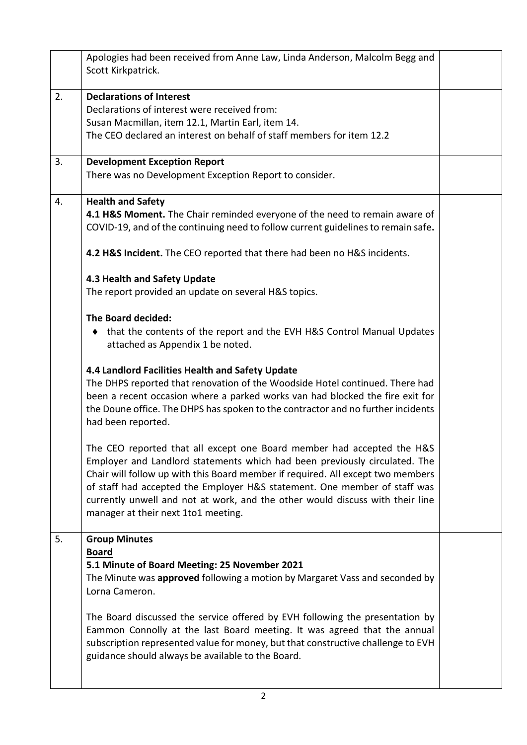|    | Apologies had been received from Anne Law, Linda Anderson, Malcolm Begg and<br>Scott Kirkpatrick.                                                                                                                                                                                                                                                                                                                                            |  |
|----|----------------------------------------------------------------------------------------------------------------------------------------------------------------------------------------------------------------------------------------------------------------------------------------------------------------------------------------------------------------------------------------------------------------------------------------------|--|
| 2. | <b>Declarations of Interest</b><br>Declarations of interest were received from:<br>Susan Macmillan, item 12.1, Martin Earl, item 14.<br>The CEO declared an interest on behalf of staff members for item 12.2                                                                                                                                                                                                                                |  |
| 3. | <b>Development Exception Report</b><br>There was no Development Exception Report to consider.                                                                                                                                                                                                                                                                                                                                                |  |
| 4. | <b>Health and Safety</b><br>4.1 H&S Moment. The Chair reminded everyone of the need to remain aware of<br>COVID-19, and of the continuing need to follow current guidelines to remain safe.<br>4.2 H&S Incident. The CEO reported that there had been no H&S incidents.                                                                                                                                                                      |  |
|    | 4.3 Health and Safety Update<br>The report provided an update on several H&S topics.                                                                                                                                                                                                                                                                                                                                                         |  |
|    | The Board decided:<br>◆ that the contents of the report and the EVH H&S Control Manual Updates<br>attached as Appendix 1 be noted.                                                                                                                                                                                                                                                                                                           |  |
|    | 4.4 Landlord Facilities Health and Safety Update<br>The DHPS reported that renovation of the Woodside Hotel continued. There had<br>been a recent occasion where a parked works van had blocked the fire exit for<br>the Doune office. The DHPS has spoken to the contractor and no further incidents<br>had been reported.                                                                                                                  |  |
|    | The CEO reported that all except one Board member had accepted the H&S<br>Employer and Landlord statements which had been previously circulated. The<br>Chair will follow up with this Board member if required. All except two members<br>of staff had accepted the Employer H&S statement. One member of staff was<br>currently unwell and not at work, and the other would discuss with their line<br>manager at their next 1to1 meeting. |  |
| 5. | <b>Group Minutes</b><br><b>Board</b><br>5.1 Minute of Board Meeting: 25 November 2021<br>The Minute was approved following a motion by Margaret Vass and seconded by<br>Lorna Cameron.<br>The Board discussed the service offered by EVH following the presentation by                                                                                                                                                                       |  |
|    | Eammon Connolly at the last Board meeting. It was agreed that the annual<br>subscription represented value for money, but that constructive challenge to EVH<br>guidance should always be available to the Board.                                                                                                                                                                                                                            |  |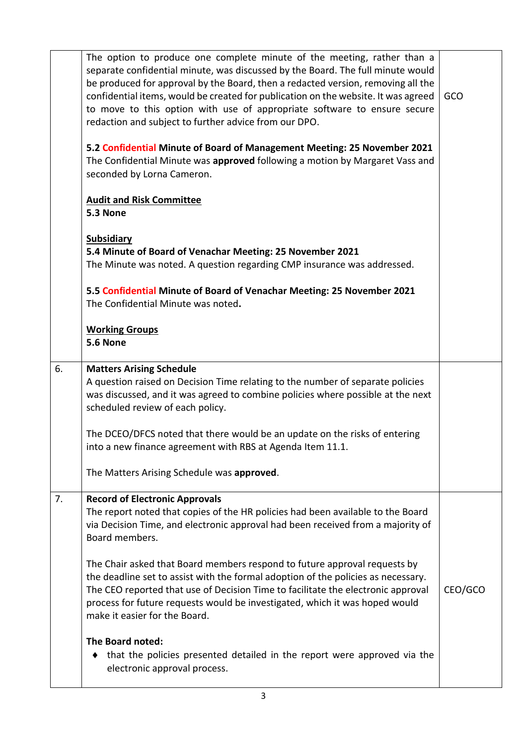|    | The option to produce one complete minute of the meeting, rather than a<br>separate confidential minute, was discussed by the Board. The full minute would<br>be produced for approval by the Board, then a redacted version, removing all the<br>confidential items, would be created for publication on the website. It was agreed<br>to move to this option with use of appropriate software to ensure secure<br>redaction and subject to further advice from our DPO.<br>5.2 Confidential Minute of Board of Management Meeting: 25 November 2021 | GCO     |
|----|-------------------------------------------------------------------------------------------------------------------------------------------------------------------------------------------------------------------------------------------------------------------------------------------------------------------------------------------------------------------------------------------------------------------------------------------------------------------------------------------------------------------------------------------------------|---------|
|    | The Confidential Minute was approved following a motion by Margaret Vass and<br>seconded by Lorna Cameron.                                                                                                                                                                                                                                                                                                                                                                                                                                            |         |
|    | <b>Audit and Risk Committee</b><br>5.3 None                                                                                                                                                                                                                                                                                                                                                                                                                                                                                                           |         |
|    | <b>Subsidiary</b><br>5.4 Minute of Board of Venachar Meeting: 25 November 2021<br>The Minute was noted. A question regarding CMP insurance was addressed.                                                                                                                                                                                                                                                                                                                                                                                             |         |
|    | 5.5 Confidential Minute of Board of Venachar Meeting: 25 November 2021<br>The Confidential Minute was noted.                                                                                                                                                                                                                                                                                                                                                                                                                                          |         |
|    | <b>Working Groups</b><br><b>5.6 None</b>                                                                                                                                                                                                                                                                                                                                                                                                                                                                                                              |         |
| 6. | <b>Matters Arising Schedule</b><br>A question raised on Decision Time relating to the number of separate policies<br>was discussed, and it was agreed to combine policies where possible at the next<br>scheduled review of each policy.                                                                                                                                                                                                                                                                                                              |         |
|    | The DCEO/DFCS noted that there would be an update on the risks of entering<br>into a new finance agreement with RBS at Agenda Item 11.1.                                                                                                                                                                                                                                                                                                                                                                                                              |         |
|    | The Matters Arising Schedule was approved.                                                                                                                                                                                                                                                                                                                                                                                                                                                                                                            |         |
| 7. | <b>Record of Electronic Approvals</b><br>The report noted that copies of the HR policies had been available to the Board<br>via Decision Time, and electronic approval had been received from a majority of<br>Board members.                                                                                                                                                                                                                                                                                                                         |         |
|    | The Chair asked that Board members respond to future approval requests by<br>the deadline set to assist with the formal adoption of the policies as necessary.<br>The CEO reported that use of Decision Time to facilitate the electronic approval<br>process for future requests would be investigated, which it was hoped would<br>make it easier for the Board.                                                                                                                                                                                    | CEO/GCO |
|    | The Board noted:<br>that the policies presented detailed in the report were approved via the<br>٠<br>electronic approval process.                                                                                                                                                                                                                                                                                                                                                                                                                     |         |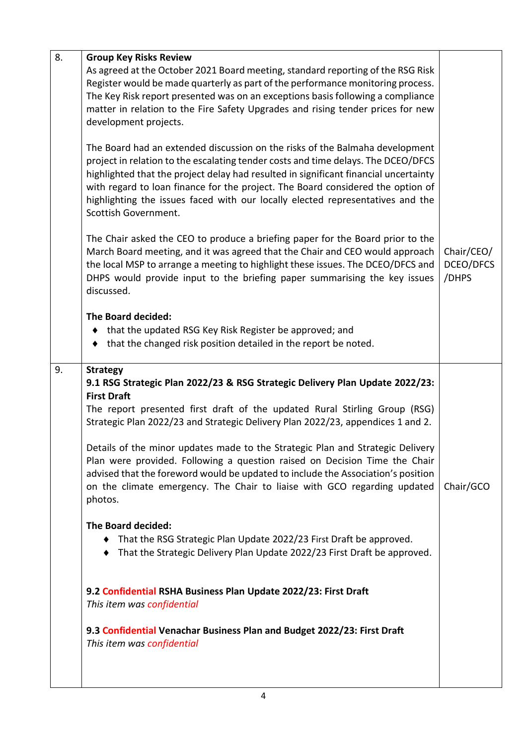| 8. | <b>Group Key Risks Review</b>                                                                                                                                                                                                                                                                                                                                                                                                                          |                                  |
|----|--------------------------------------------------------------------------------------------------------------------------------------------------------------------------------------------------------------------------------------------------------------------------------------------------------------------------------------------------------------------------------------------------------------------------------------------------------|----------------------------------|
|    | As agreed at the October 2021 Board meeting, standard reporting of the RSG Risk<br>Register would be made quarterly as part of the performance monitoring process.<br>The Key Risk report presented was on an exceptions basis following a compliance<br>matter in relation to the Fire Safety Upgrades and rising tender prices for new<br>development projects.                                                                                      |                                  |
|    | The Board had an extended discussion on the risks of the Balmaha development<br>project in relation to the escalating tender costs and time delays. The DCEO/DFCS<br>highlighted that the project delay had resulted in significant financial uncertainty<br>with regard to loan finance for the project. The Board considered the option of<br>highlighting the issues faced with our locally elected representatives and the<br>Scottish Government. |                                  |
|    | The Chair asked the CEO to produce a briefing paper for the Board prior to the<br>March Board meeting, and it was agreed that the Chair and CEO would approach<br>the local MSP to arrange a meeting to highlight these issues. The DCEO/DFCS and<br>DHPS would provide input to the briefing paper summarising the key issues<br>discussed.                                                                                                           | Chair/CEO/<br>DCEO/DFCS<br>/DHPS |
|    | The Board decided:<br>♦ that the updated RSG Key Risk Register be approved; and<br>that the changed risk position detailed in the report be noted.                                                                                                                                                                                                                                                                                                     |                                  |
|    |                                                                                                                                                                                                                                                                                                                                                                                                                                                        |                                  |
| 9. | <b>Strategy</b><br>9.1 RSG Strategic Plan 2022/23 & RSG Strategic Delivery Plan Update 2022/23:                                                                                                                                                                                                                                                                                                                                                        |                                  |
|    | <b>First Draft</b><br>The report presented first draft of the updated Rural Stirling Group (RSG)<br>Strategic Plan 2022/23 and Strategic Delivery Plan 2022/23, appendices 1 and 2.                                                                                                                                                                                                                                                                    |                                  |
|    | Details of the minor updates made to the Strategic Plan and Strategic Delivery<br>Plan were provided. Following a question raised on Decision Time the Chair<br>advised that the foreword would be updated to include the Association's position<br>on the climate emergency. The Chair to liaise with GCO regarding updated<br>photos.                                                                                                                | Chair/GCO                        |
|    | The Board decided:<br>That the RSG Strategic Plan Update 2022/23 First Draft be approved.<br>That the Strategic Delivery Plan Update 2022/23 First Draft be approved.<br>٠                                                                                                                                                                                                                                                                             |                                  |
|    | 9.2 Confidential RSHA Business Plan Update 2022/23: First Draft<br>This item was confidential                                                                                                                                                                                                                                                                                                                                                          |                                  |
|    | 9.3 Confidential Venachar Business Plan and Budget 2022/23: First Draft<br>This item was confidential                                                                                                                                                                                                                                                                                                                                                  |                                  |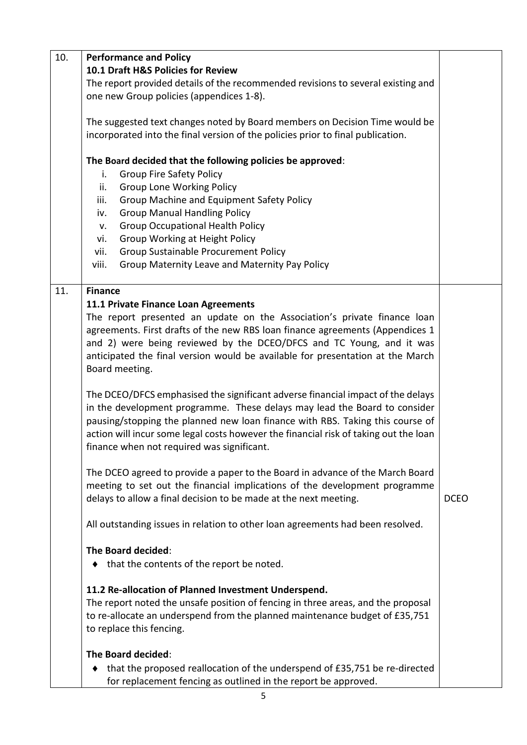| 10. | <b>Performance and Policy</b>                                                        |             |
|-----|--------------------------------------------------------------------------------------|-------------|
|     | 10.1 Draft H&S Policies for Review                                                   |             |
|     | The report provided details of the recommended revisions to several existing and     |             |
|     | one new Group policies (appendices 1-8).                                             |             |
|     |                                                                                      |             |
|     | The suggested text changes noted by Board members on Decision Time would be          |             |
|     | incorporated into the final version of the policies prior to final publication.      |             |
|     |                                                                                      |             |
|     | The Board decided that the following policies be approved:                           |             |
|     | <b>Group Fire Safety Policy</b><br>i.                                                |             |
|     | <b>Group Lone Working Policy</b><br>ii.                                              |             |
|     | Group Machine and Equipment Safety Policy<br>iii.                                    |             |
|     | <b>Group Manual Handling Policy</b><br>iv.                                           |             |
|     | <b>Group Occupational Health Policy</b><br>v.                                        |             |
|     | <b>Group Working at Height Policy</b><br>vi.                                         |             |
|     | <b>Group Sustainable Procurement Policy</b><br>vii.                                  |             |
|     | Group Maternity Leave and Maternity Pay Policy<br>viii.                              |             |
|     |                                                                                      |             |
| 11. | <b>Finance</b>                                                                       |             |
|     | 11.1 Private Finance Loan Agreements                                                 |             |
|     | The report presented an update on the Association's private finance loan             |             |
|     | agreements. First drafts of the new RBS loan finance agreements (Appendices 1        |             |
|     | and 2) were being reviewed by the DCEO/DFCS and TC Young, and it was                 |             |
|     | anticipated the final version would be available for presentation at the March       |             |
|     | Board meeting.                                                                       |             |
|     |                                                                                      |             |
|     | The DCEO/DFCS emphasised the significant adverse financial impact of the delays      |             |
|     | in the development programme. These delays may lead the Board to consider            |             |
|     | pausing/stopping the planned new loan finance with RBS. Taking this course of        |             |
|     | action will incur some legal costs however the financial risk of taking out the loan |             |
|     | finance when not required was significant.                                           |             |
|     | The DCEO agreed to provide a paper to the Board in advance of the March Board        |             |
|     | meeting to set out the financial implications of the development programme           |             |
|     | delays to allow a final decision to be made at the next meeting.                     | <b>DCEO</b> |
|     |                                                                                      |             |
|     | All outstanding issues in relation to other loan agreements had been resolved.       |             |
|     | The Board decided:                                                                   |             |
|     | ♦ that the contents of the report be noted.                                          |             |
|     |                                                                                      |             |
|     | 11.2 Re-allocation of Planned Investment Underspend.                                 |             |
|     | The report noted the unsafe position of fencing in three areas, and the proposal     |             |
|     | to re-allocate an underspend from the planned maintenance budget of £35,751          |             |
|     | to replace this fencing.                                                             |             |
|     | The Board decided:                                                                   |             |
|     | that the proposed reallocation of the underspend of £35,751 be re-directed           |             |
|     | for replacement fencing as outlined in the report be approved.                       |             |
|     |                                                                                      |             |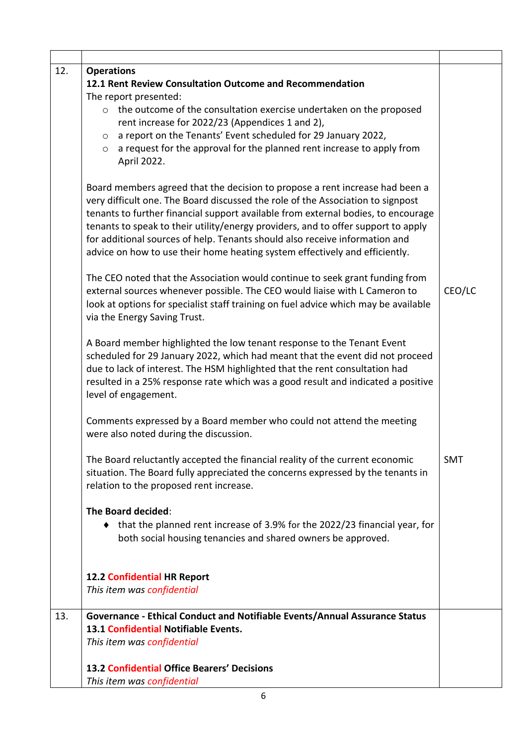| 12. | <b>Operations</b>                                                                                                                                          |            |
|-----|------------------------------------------------------------------------------------------------------------------------------------------------------------|------------|
|     | 12.1 Rent Review Consultation Outcome and Recommendation                                                                                                   |            |
|     | The report presented:                                                                                                                                      |            |
|     | $\circ$ the outcome of the consultation exercise undertaken on the proposed<br>rent increase for 2022/23 (Appendices 1 and 2),                             |            |
|     | o a report on the Tenants' Event scheduled for 29 January 2022,                                                                                            |            |
|     | $\circ$ a request for the approval for the planned rent increase to apply from                                                                             |            |
|     | April 2022.                                                                                                                                                |            |
|     |                                                                                                                                                            |            |
|     | Board members agreed that the decision to propose a rent increase had been a                                                                               |            |
|     | very difficult one. The Board discussed the role of the Association to signpost                                                                            |            |
|     | tenants to further financial support available from external bodies, to encourage                                                                          |            |
|     | tenants to speak to their utility/energy providers, and to offer support to apply                                                                          |            |
|     | for additional sources of help. Tenants should also receive information and<br>advice on how to use their home heating system effectively and efficiently. |            |
|     |                                                                                                                                                            |            |
|     | The CEO noted that the Association would continue to seek grant funding from                                                                               |            |
|     | external sources whenever possible. The CEO would liaise with L Cameron to                                                                                 | CEO/LC     |
|     | look at options for specialist staff training on fuel advice which may be available                                                                        |            |
|     | via the Energy Saving Trust.                                                                                                                               |            |
|     |                                                                                                                                                            |            |
|     | A Board member highlighted the low tenant response to the Tenant Event<br>scheduled for 29 January 2022, which had meant that the event did not proceed    |            |
|     | due to lack of interest. The HSM highlighted that the rent consultation had                                                                                |            |
|     | resulted in a 25% response rate which was a good result and indicated a positive                                                                           |            |
|     | level of engagement.                                                                                                                                       |            |
|     |                                                                                                                                                            |            |
|     | Comments expressed by a Board member who could not attend the meeting<br>were also noted during the discussion.                                            |            |
|     |                                                                                                                                                            |            |
|     | The Board reluctantly accepted the financial reality of the current economic                                                                               | <b>SMT</b> |
|     | situation. The Board fully appreciated the concerns expressed by the tenants in                                                                            |            |
|     | relation to the proposed rent increase.                                                                                                                    |            |
|     |                                                                                                                                                            |            |
|     | The Board decided:<br>♦ that the planned rent increase of 3.9% for the 2022/23 financial year, for                                                         |            |
|     | both social housing tenancies and shared owners be approved.                                                                                               |            |
|     |                                                                                                                                                            |            |
|     |                                                                                                                                                            |            |
|     | <b>12.2 Confidential HR Report</b>                                                                                                                         |            |
|     | This item was confidential                                                                                                                                 |            |
| 13. | <b>Governance - Ethical Conduct and Notifiable Events/Annual Assurance Status</b>                                                                          |            |
|     | 13.1 Confidential Notifiable Events.                                                                                                                       |            |
|     | This item was confidential                                                                                                                                 |            |
|     |                                                                                                                                                            |            |
|     | <b>13.2 Confidential Office Bearers' Decisions</b>                                                                                                         |            |
|     | This item was confidential                                                                                                                                 |            |

r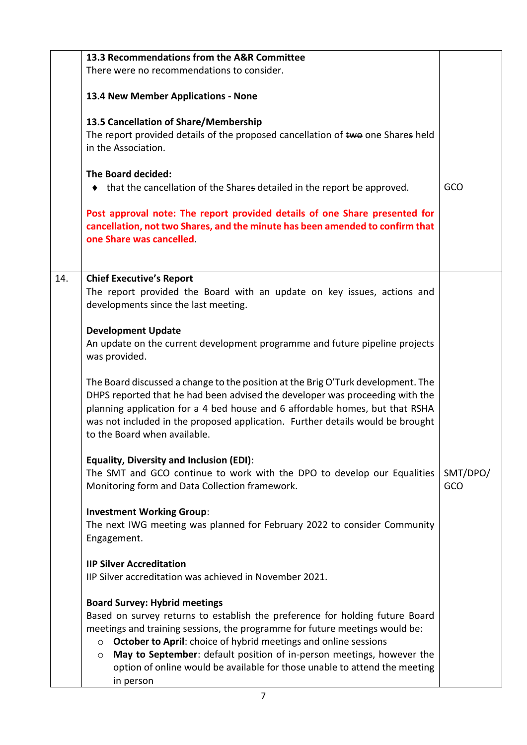| There were no recommendations to consider.<br>13.4 New Member Applications - None<br>13.5 Cancellation of Share/Membership<br>The report provided details of the proposed cancellation of two one Shares held<br>in the Association.<br>The Board decided:<br>GCO<br>that the cancellation of the Shares detailed in the report be approved.<br>Post approval note: The report provided details of one Share presented for<br>cancellation, not two Shares, and the minute has been amended to confirm that<br>one Share was cancelled.<br><b>Chief Executive's Report</b><br>14.<br>The report provided the Board with an update on key issues, actions and<br>developments since the last meeting.<br><b>Development Update</b><br>An update on the current development programme and future pipeline projects<br>was provided.<br>The Board discussed a change to the position at the Brig O'Turk development. The<br>DHPS reported that he had been advised the developer was proceeding with the<br>planning application for a 4 bed house and 6 affordable homes, but that RSHA<br>was not included in the proposed application. Further details would be brought<br>to the Board when available.<br><b>Equality, Diversity and Inclusion (EDI):</b><br>The SMT and GCO continue to work with the DPO to develop our Equalities<br>SMT/DPO/<br>GCO<br>Monitoring form and Data Collection framework.<br><b>Investment Working Group:</b><br>The next IWG meeting was planned for February 2022 to consider Community<br>Engagement.<br><b>IIP Silver Accreditation</b><br>IIP Silver accreditation was achieved in November 2021.<br><b>Board Survey: Hybrid meetings</b><br>Based on survey returns to establish the preference for holding future Board<br>meetings and training sessions, the programme for future meetings would be:<br><b>October to April:</b> choice of hybrid meetings and online sessions<br>$\circ$<br>May to September: default position of in-person meetings, however the<br>$\circ$<br>option of online would be available for those unable to attend the meeting | 13.3 Recommendations from the A&R Committee |  |
|-------------------------------------------------------------------------------------------------------------------------------------------------------------------------------------------------------------------------------------------------------------------------------------------------------------------------------------------------------------------------------------------------------------------------------------------------------------------------------------------------------------------------------------------------------------------------------------------------------------------------------------------------------------------------------------------------------------------------------------------------------------------------------------------------------------------------------------------------------------------------------------------------------------------------------------------------------------------------------------------------------------------------------------------------------------------------------------------------------------------------------------------------------------------------------------------------------------------------------------------------------------------------------------------------------------------------------------------------------------------------------------------------------------------------------------------------------------------------------------------------------------------------------------------------------------------------------------------------------------------------------------------------------------------------------------------------------------------------------------------------------------------------------------------------------------------------------------------------------------------------------------------------------------------------------------------------------------------------------------------------------------------------------------------------------------------------------------------------------|---------------------------------------------|--|
|                                                                                                                                                                                                                                                                                                                                                                                                                                                                                                                                                                                                                                                                                                                                                                                                                                                                                                                                                                                                                                                                                                                                                                                                                                                                                                                                                                                                                                                                                                                                                                                                                                                                                                                                                                                                                                                                                                                                                                                                                                                                                                       |                                             |  |
|                                                                                                                                                                                                                                                                                                                                                                                                                                                                                                                                                                                                                                                                                                                                                                                                                                                                                                                                                                                                                                                                                                                                                                                                                                                                                                                                                                                                                                                                                                                                                                                                                                                                                                                                                                                                                                                                                                                                                                                                                                                                                                       |                                             |  |
|                                                                                                                                                                                                                                                                                                                                                                                                                                                                                                                                                                                                                                                                                                                                                                                                                                                                                                                                                                                                                                                                                                                                                                                                                                                                                                                                                                                                                                                                                                                                                                                                                                                                                                                                                                                                                                                                                                                                                                                                                                                                                                       |                                             |  |
|                                                                                                                                                                                                                                                                                                                                                                                                                                                                                                                                                                                                                                                                                                                                                                                                                                                                                                                                                                                                                                                                                                                                                                                                                                                                                                                                                                                                                                                                                                                                                                                                                                                                                                                                                                                                                                                                                                                                                                                                                                                                                                       |                                             |  |
|                                                                                                                                                                                                                                                                                                                                                                                                                                                                                                                                                                                                                                                                                                                                                                                                                                                                                                                                                                                                                                                                                                                                                                                                                                                                                                                                                                                                                                                                                                                                                                                                                                                                                                                                                                                                                                                                                                                                                                                                                                                                                                       |                                             |  |
|                                                                                                                                                                                                                                                                                                                                                                                                                                                                                                                                                                                                                                                                                                                                                                                                                                                                                                                                                                                                                                                                                                                                                                                                                                                                                                                                                                                                                                                                                                                                                                                                                                                                                                                                                                                                                                                                                                                                                                                                                                                                                                       |                                             |  |
|                                                                                                                                                                                                                                                                                                                                                                                                                                                                                                                                                                                                                                                                                                                                                                                                                                                                                                                                                                                                                                                                                                                                                                                                                                                                                                                                                                                                                                                                                                                                                                                                                                                                                                                                                                                                                                                                                                                                                                                                                                                                                                       |                                             |  |
|                                                                                                                                                                                                                                                                                                                                                                                                                                                                                                                                                                                                                                                                                                                                                                                                                                                                                                                                                                                                                                                                                                                                                                                                                                                                                                                                                                                                                                                                                                                                                                                                                                                                                                                                                                                                                                                                                                                                                                                                                                                                                                       |                                             |  |
|                                                                                                                                                                                                                                                                                                                                                                                                                                                                                                                                                                                                                                                                                                                                                                                                                                                                                                                                                                                                                                                                                                                                                                                                                                                                                                                                                                                                                                                                                                                                                                                                                                                                                                                                                                                                                                                                                                                                                                                                                                                                                                       |                                             |  |
|                                                                                                                                                                                                                                                                                                                                                                                                                                                                                                                                                                                                                                                                                                                                                                                                                                                                                                                                                                                                                                                                                                                                                                                                                                                                                                                                                                                                                                                                                                                                                                                                                                                                                                                                                                                                                                                                                                                                                                                                                                                                                                       |                                             |  |
|                                                                                                                                                                                                                                                                                                                                                                                                                                                                                                                                                                                                                                                                                                                                                                                                                                                                                                                                                                                                                                                                                                                                                                                                                                                                                                                                                                                                                                                                                                                                                                                                                                                                                                                                                                                                                                                                                                                                                                                                                                                                                                       |                                             |  |
|                                                                                                                                                                                                                                                                                                                                                                                                                                                                                                                                                                                                                                                                                                                                                                                                                                                                                                                                                                                                                                                                                                                                                                                                                                                                                                                                                                                                                                                                                                                                                                                                                                                                                                                                                                                                                                                                                                                                                                                                                                                                                                       |                                             |  |
|                                                                                                                                                                                                                                                                                                                                                                                                                                                                                                                                                                                                                                                                                                                                                                                                                                                                                                                                                                                                                                                                                                                                                                                                                                                                                                                                                                                                                                                                                                                                                                                                                                                                                                                                                                                                                                                                                                                                                                                                                                                                                                       |                                             |  |
|                                                                                                                                                                                                                                                                                                                                                                                                                                                                                                                                                                                                                                                                                                                                                                                                                                                                                                                                                                                                                                                                                                                                                                                                                                                                                                                                                                                                                                                                                                                                                                                                                                                                                                                                                                                                                                                                                                                                                                                                                                                                                                       |                                             |  |
|                                                                                                                                                                                                                                                                                                                                                                                                                                                                                                                                                                                                                                                                                                                                                                                                                                                                                                                                                                                                                                                                                                                                                                                                                                                                                                                                                                                                                                                                                                                                                                                                                                                                                                                                                                                                                                                                                                                                                                                                                                                                                                       |                                             |  |
|                                                                                                                                                                                                                                                                                                                                                                                                                                                                                                                                                                                                                                                                                                                                                                                                                                                                                                                                                                                                                                                                                                                                                                                                                                                                                                                                                                                                                                                                                                                                                                                                                                                                                                                                                                                                                                                                                                                                                                                                                                                                                                       |                                             |  |
|                                                                                                                                                                                                                                                                                                                                                                                                                                                                                                                                                                                                                                                                                                                                                                                                                                                                                                                                                                                                                                                                                                                                                                                                                                                                                                                                                                                                                                                                                                                                                                                                                                                                                                                                                                                                                                                                                                                                                                                                                                                                                                       |                                             |  |
|                                                                                                                                                                                                                                                                                                                                                                                                                                                                                                                                                                                                                                                                                                                                                                                                                                                                                                                                                                                                                                                                                                                                                                                                                                                                                                                                                                                                                                                                                                                                                                                                                                                                                                                                                                                                                                                                                                                                                                                                                                                                                                       |                                             |  |
|                                                                                                                                                                                                                                                                                                                                                                                                                                                                                                                                                                                                                                                                                                                                                                                                                                                                                                                                                                                                                                                                                                                                                                                                                                                                                                                                                                                                                                                                                                                                                                                                                                                                                                                                                                                                                                                                                                                                                                                                                                                                                                       |                                             |  |
|                                                                                                                                                                                                                                                                                                                                                                                                                                                                                                                                                                                                                                                                                                                                                                                                                                                                                                                                                                                                                                                                                                                                                                                                                                                                                                                                                                                                                                                                                                                                                                                                                                                                                                                                                                                                                                                                                                                                                                                                                                                                                                       |                                             |  |
|                                                                                                                                                                                                                                                                                                                                                                                                                                                                                                                                                                                                                                                                                                                                                                                                                                                                                                                                                                                                                                                                                                                                                                                                                                                                                                                                                                                                                                                                                                                                                                                                                                                                                                                                                                                                                                                                                                                                                                                                                                                                                                       |                                             |  |
|                                                                                                                                                                                                                                                                                                                                                                                                                                                                                                                                                                                                                                                                                                                                                                                                                                                                                                                                                                                                                                                                                                                                                                                                                                                                                                                                                                                                                                                                                                                                                                                                                                                                                                                                                                                                                                                                                                                                                                                                                                                                                                       |                                             |  |
|                                                                                                                                                                                                                                                                                                                                                                                                                                                                                                                                                                                                                                                                                                                                                                                                                                                                                                                                                                                                                                                                                                                                                                                                                                                                                                                                                                                                                                                                                                                                                                                                                                                                                                                                                                                                                                                                                                                                                                                                                                                                                                       |                                             |  |
|                                                                                                                                                                                                                                                                                                                                                                                                                                                                                                                                                                                                                                                                                                                                                                                                                                                                                                                                                                                                                                                                                                                                                                                                                                                                                                                                                                                                                                                                                                                                                                                                                                                                                                                                                                                                                                                                                                                                                                                                                                                                                                       |                                             |  |
|                                                                                                                                                                                                                                                                                                                                                                                                                                                                                                                                                                                                                                                                                                                                                                                                                                                                                                                                                                                                                                                                                                                                                                                                                                                                                                                                                                                                                                                                                                                                                                                                                                                                                                                                                                                                                                                                                                                                                                                                                                                                                                       |                                             |  |
|                                                                                                                                                                                                                                                                                                                                                                                                                                                                                                                                                                                                                                                                                                                                                                                                                                                                                                                                                                                                                                                                                                                                                                                                                                                                                                                                                                                                                                                                                                                                                                                                                                                                                                                                                                                                                                                                                                                                                                                                                                                                                                       |                                             |  |
|                                                                                                                                                                                                                                                                                                                                                                                                                                                                                                                                                                                                                                                                                                                                                                                                                                                                                                                                                                                                                                                                                                                                                                                                                                                                                                                                                                                                                                                                                                                                                                                                                                                                                                                                                                                                                                                                                                                                                                                                                                                                                                       |                                             |  |
|                                                                                                                                                                                                                                                                                                                                                                                                                                                                                                                                                                                                                                                                                                                                                                                                                                                                                                                                                                                                                                                                                                                                                                                                                                                                                                                                                                                                                                                                                                                                                                                                                                                                                                                                                                                                                                                                                                                                                                                                                                                                                                       |                                             |  |
|                                                                                                                                                                                                                                                                                                                                                                                                                                                                                                                                                                                                                                                                                                                                                                                                                                                                                                                                                                                                                                                                                                                                                                                                                                                                                                                                                                                                                                                                                                                                                                                                                                                                                                                                                                                                                                                                                                                                                                                                                                                                                                       |                                             |  |
|                                                                                                                                                                                                                                                                                                                                                                                                                                                                                                                                                                                                                                                                                                                                                                                                                                                                                                                                                                                                                                                                                                                                                                                                                                                                                                                                                                                                                                                                                                                                                                                                                                                                                                                                                                                                                                                                                                                                                                                                                                                                                                       |                                             |  |
|                                                                                                                                                                                                                                                                                                                                                                                                                                                                                                                                                                                                                                                                                                                                                                                                                                                                                                                                                                                                                                                                                                                                                                                                                                                                                                                                                                                                                                                                                                                                                                                                                                                                                                                                                                                                                                                                                                                                                                                                                                                                                                       |                                             |  |
|                                                                                                                                                                                                                                                                                                                                                                                                                                                                                                                                                                                                                                                                                                                                                                                                                                                                                                                                                                                                                                                                                                                                                                                                                                                                                                                                                                                                                                                                                                                                                                                                                                                                                                                                                                                                                                                                                                                                                                                                                                                                                                       |                                             |  |
|                                                                                                                                                                                                                                                                                                                                                                                                                                                                                                                                                                                                                                                                                                                                                                                                                                                                                                                                                                                                                                                                                                                                                                                                                                                                                                                                                                                                                                                                                                                                                                                                                                                                                                                                                                                                                                                                                                                                                                                                                                                                                                       |                                             |  |
|                                                                                                                                                                                                                                                                                                                                                                                                                                                                                                                                                                                                                                                                                                                                                                                                                                                                                                                                                                                                                                                                                                                                                                                                                                                                                                                                                                                                                                                                                                                                                                                                                                                                                                                                                                                                                                                                                                                                                                                                                                                                                                       |                                             |  |
|                                                                                                                                                                                                                                                                                                                                                                                                                                                                                                                                                                                                                                                                                                                                                                                                                                                                                                                                                                                                                                                                                                                                                                                                                                                                                                                                                                                                                                                                                                                                                                                                                                                                                                                                                                                                                                                                                                                                                                                                                                                                                                       |                                             |  |
|                                                                                                                                                                                                                                                                                                                                                                                                                                                                                                                                                                                                                                                                                                                                                                                                                                                                                                                                                                                                                                                                                                                                                                                                                                                                                                                                                                                                                                                                                                                                                                                                                                                                                                                                                                                                                                                                                                                                                                                                                                                                                                       |                                             |  |
|                                                                                                                                                                                                                                                                                                                                                                                                                                                                                                                                                                                                                                                                                                                                                                                                                                                                                                                                                                                                                                                                                                                                                                                                                                                                                                                                                                                                                                                                                                                                                                                                                                                                                                                                                                                                                                                                                                                                                                                                                                                                                                       |                                             |  |
|                                                                                                                                                                                                                                                                                                                                                                                                                                                                                                                                                                                                                                                                                                                                                                                                                                                                                                                                                                                                                                                                                                                                                                                                                                                                                                                                                                                                                                                                                                                                                                                                                                                                                                                                                                                                                                                                                                                                                                                                                                                                                                       |                                             |  |
|                                                                                                                                                                                                                                                                                                                                                                                                                                                                                                                                                                                                                                                                                                                                                                                                                                                                                                                                                                                                                                                                                                                                                                                                                                                                                                                                                                                                                                                                                                                                                                                                                                                                                                                                                                                                                                                                                                                                                                                                                                                                                                       |                                             |  |
|                                                                                                                                                                                                                                                                                                                                                                                                                                                                                                                                                                                                                                                                                                                                                                                                                                                                                                                                                                                                                                                                                                                                                                                                                                                                                                                                                                                                                                                                                                                                                                                                                                                                                                                                                                                                                                                                                                                                                                                                                                                                                                       |                                             |  |
|                                                                                                                                                                                                                                                                                                                                                                                                                                                                                                                                                                                                                                                                                                                                                                                                                                                                                                                                                                                                                                                                                                                                                                                                                                                                                                                                                                                                                                                                                                                                                                                                                                                                                                                                                                                                                                                                                                                                                                                                                                                                                                       |                                             |  |
|                                                                                                                                                                                                                                                                                                                                                                                                                                                                                                                                                                                                                                                                                                                                                                                                                                                                                                                                                                                                                                                                                                                                                                                                                                                                                                                                                                                                                                                                                                                                                                                                                                                                                                                                                                                                                                                                                                                                                                                                                                                                                                       |                                             |  |
|                                                                                                                                                                                                                                                                                                                                                                                                                                                                                                                                                                                                                                                                                                                                                                                                                                                                                                                                                                                                                                                                                                                                                                                                                                                                                                                                                                                                                                                                                                                                                                                                                                                                                                                                                                                                                                                                                                                                                                                                                                                                                                       |                                             |  |
|                                                                                                                                                                                                                                                                                                                                                                                                                                                                                                                                                                                                                                                                                                                                                                                                                                                                                                                                                                                                                                                                                                                                                                                                                                                                                                                                                                                                                                                                                                                                                                                                                                                                                                                                                                                                                                                                                                                                                                                                                                                                                                       |                                             |  |
|                                                                                                                                                                                                                                                                                                                                                                                                                                                                                                                                                                                                                                                                                                                                                                                                                                                                                                                                                                                                                                                                                                                                                                                                                                                                                                                                                                                                                                                                                                                                                                                                                                                                                                                                                                                                                                                                                                                                                                                                                                                                                                       |                                             |  |
|                                                                                                                                                                                                                                                                                                                                                                                                                                                                                                                                                                                                                                                                                                                                                                                                                                                                                                                                                                                                                                                                                                                                                                                                                                                                                                                                                                                                                                                                                                                                                                                                                                                                                                                                                                                                                                                                                                                                                                                                                                                                                                       |                                             |  |
|                                                                                                                                                                                                                                                                                                                                                                                                                                                                                                                                                                                                                                                                                                                                                                                                                                                                                                                                                                                                                                                                                                                                                                                                                                                                                                                                                                                                                                                                                                                                                                                                                                                                                                                                                                                                                                                                                                                                                                                                                                                                                                       | in person                                   |  |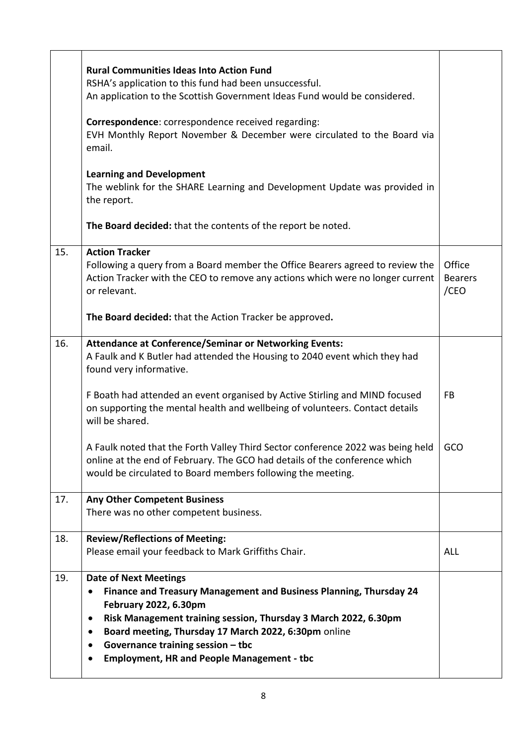|     | <b>Rural Communities Ideas Into Action Fund</b><br>RSHA's application to this fund had been unsuccessful.<br>An application to the Scottish Government Ideas Fund would be considered.<br>Correspondence: correspondence received regarding:<br>EVH Monthly Report November & December were circulated to the Board via<br>email.<br><b>Learning and Development</b><br>The weblink for the SHARE Learning and Development Update was provided in<br>the report.<br>The Board decided: that the contents of the report be noted.                                                               |                                  |
|-----|------------------------------------------------------------------------------------------------------------------------------------------------------------------------------------------------------------------------------------------------------------------------------------------------------------------------------------------------------------------------------------------------------------------------------------------------------------------------------------------------------------------------------------------------------------------------------------------------|----------------------------------|
| 15. | <b>Action Tracker</b><br>Following a query from a Board member the Office Bearers agreed to review the<br>Action Tracker with the CEO to remove any actions which were no longer current<br>or relevant.<br>The Board decided: that the Action Tracker be approved.                                                                                                                                                                                                                                                                                                                            | Office<br><b>Bearers</b><br>/CEO |
| 16. | <b>Attendance at Conference/Seminar or Networking Events:</b><br>A Faulk and K Butler had attended the Housing to 2040 event which they had<br>found very informative.<br>F Boath had attended an event organised by Active Stirling and MIND focused<br>on supporting the mental health and wellbeing of volunteers. Contact details<br>will be shared.<br>A Faulk noted that the Forth Valley Third Sector conference 2022 was being held   GCO<br>online at the end of February. The GCO had details of the conference which<br>would be circulated to Board members following the meeting. | <b>FB</b>                        |
| 17. | <b>Any Other Competent Business</b><br>There was no other competent business.                                                                                                                                                                                                                                                                                                                                                                                                                                                                                                                  |                                  |
| 18. | <b>Review/Reflections of Meeting:</b><br>Please email your feedback to Mark Griffiths Chair.                                                                                                                                                                                                                                                                                                                                                                                                                                                                                                   | <b>ALL</b>                       |
| 19. | <b>Date of Next Meetings</b><br>Finance and Treasury Management and Business Planning, Thursday 24<br><b>February 2022, 6.30pm</b><br>Risk Management training session, Thursday 3 March 2022, 6.30pm<br>Board meeting, Thursday 17 March 2022, 6:30pm online<br>Governance training session $-$ tbc<br>$\bullet$<br><b>Employment, HR and People Management - tbc</b>                                                                                                                                                                                                                         |                                  |